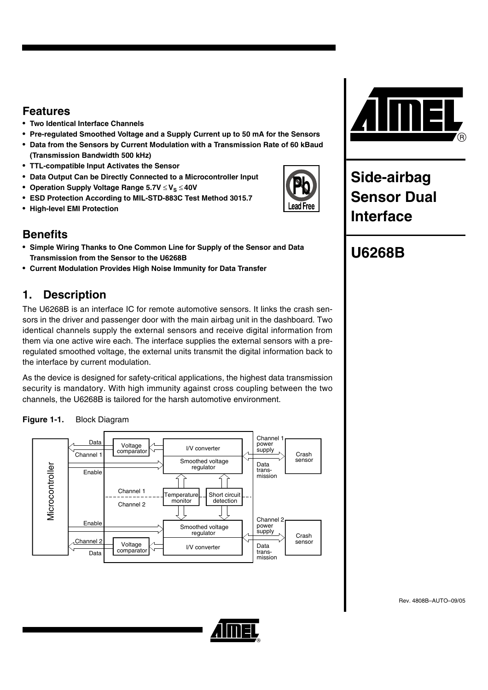### **Features**

- **Two Identical Interface Channels**
- **Pre-regulated Smoothed Voltage and a Supply Current up to 50 mA for the Sensors**
- **Data from the Sensors by Current Modulation with a Transmission Rate of 60 kBaud (Transmission Bandwidth 500 kHz)**
- **TTL-compatible Input Activates the Sensor**
- **Data Output Can be Directly Connected to a Microcontroller Input**
- Operation Supply Voltage Range 5.7V ≤ V<sub>S</sub> ≤ 40V
- **ESD Protection According to MIL-STD-883C Test Method 3015.7**
- **High-level EMI Protection**

### **Benefits**

- **Simple Wiring Thanks to One Common Line for Supply of the Sensor and Data Transmission from the Sensor to the U6268B**
- **Current Modulation Provides High Noise Immunity for Data Transfer**

### **1. Description**

The U6268B is an interface IC for remote automotive sensors. It links the crash sensors in the driver and passenger door with the main airbag unit in the dashboard. Two identical channels supply the external sensors and receive digital information from them via one active wire each. The interface supplies the external sensors with a preregulated smoothed voltage, the external units transmit the digital information back to the interface by current modulation.

As the device is designed for safety-critical applications, the highest data transmission security is mandatory. With high immunity against cross coupling between the two channels, the U6268B is tailored for the harsh automotive environment.







**Side-airbag Sensor Dual Interface**

# **U6268B**

ead Free

Rev. 4808B–AUTO–09/05

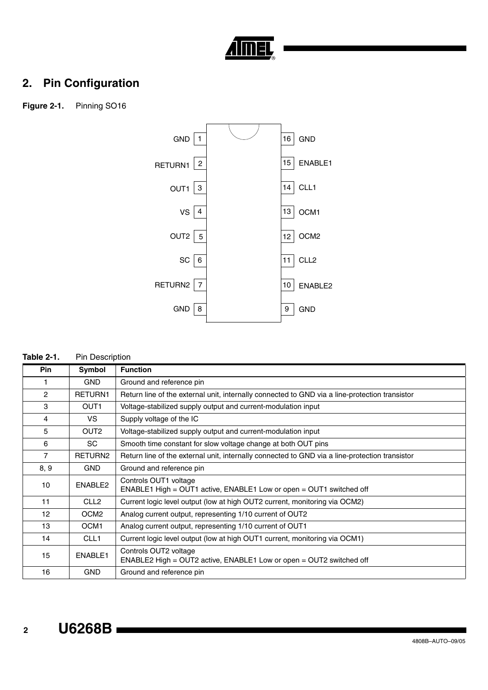

# **2. Pin Configuration**

**Figure 2-1.** Pinning SO16



#### **Table 2-1.** Pin Description

| <b>Pin</b>     | Symbol           | <b>Function</b>                                                                                |
|----------------|------------------|------------------------------------------------------------------------------------------------|
| 1              | <b>GND</b>       | Ground and reference pin                                                                       |
| $\overline{2}$ | RETURN1          | Return line of the external unit, internally connected to GND via a line-protection transistor |
| 3              | OUT <sub>1</sub> | Voltage-stabilized supply output and current-modulation input                                  |
| 4              | VS.              | Supply voltage of the IC                                                                       |
| 5              | OUT <sub>2</sub> | Voltage-stabilized supply output and current-modulation input                                  |
| 6              | <b>SC</b>        | Smooth time constant for slow voltage change at both OUT pins                                  |
| $\overline{7}$ | RETURN2          | Return line of the external unit, internally connected to GND via a line-protection transistor |
| 8, 9           | <b>GND</b>       | Ground and reference pin                                                                       |
| 10             | ENABLE2          | Controls OUT1 voltage<br>ENABLE1 High = OUT1 active, ENABLE1 Low or open = OUT1 switched off   |
| 11             | CLL <sub>2</sub> | Current logic level output (low at high OUT2 current, monitoring via OCM2)                     |
| 12             | OCM <sub>2</sub> | Analog current output, representing 1/10 current of OUT2                                       |
| 13             | OCM <sub>1</sub> | Analog current output, representing 1/10 current of OUT1                                       |
| 14             | CLL <sub>1</sub> | Current logic level output (low at high OUT1 current, monitoring via OCM1)                     |
| 15             | ENABLE1          | Controls OUT2 voltage<br>ENABLE2 High = OUT2 active, ENABLE1 Low or open = OUT2 switched off   |
| 16             | <b>GND</b>       | Ground and reference pin                                                                       |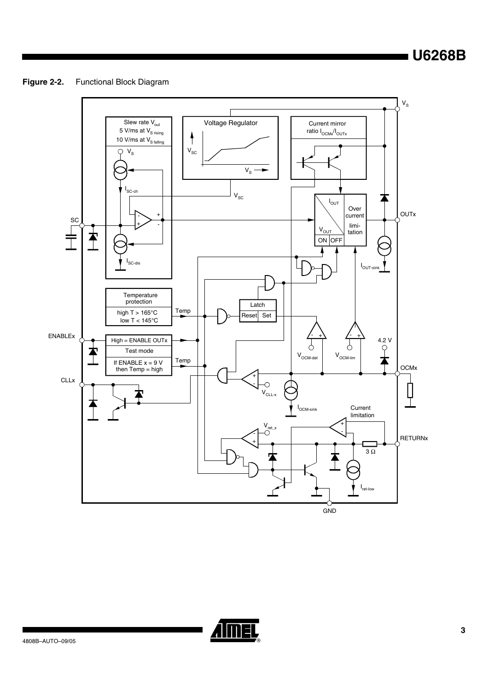**U6268B**

**Figure 2-2.** Functional Block Diagram



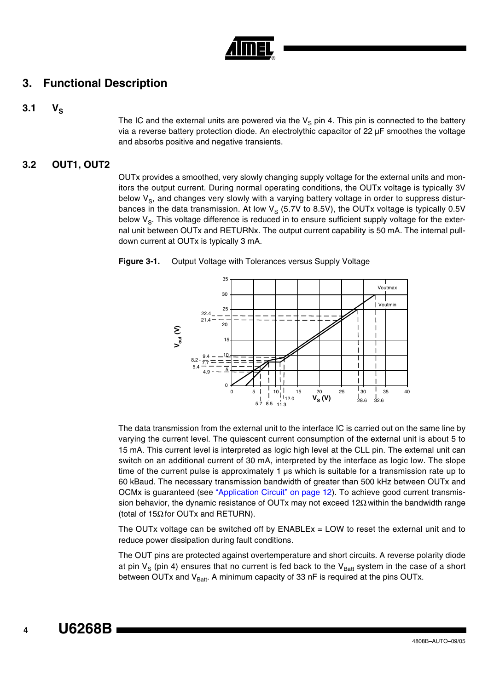

### **3. Functional Description**

### $3.1 \tV<sub>S</sub>$

The IC and the external units are powered via the  $V<sub>S</sub>$  pin 4. This pin is connected to the battery via a reverse battery protection diode. An electrolythic capacitor of 22 µF smoothes the voltage and absorbs positive and negative transients.

### **3.2 OUT1, OUT2**

OUTx provides a smoothed, very slowly changing supply voltage for the external units and monitors the output current. During normal operating conditions, the OUTx voltage is typically 3V below  $V_{\rm S}$ , and changes very slowly with a varying battery voltage in order to suppress disturbances in the data transmission. At low  $V_S$  (5.7V to 8.5V), the OUTx voltage is typically 0.5V below  $V_{\rm S}$ . This voltage difference is reduced in to ensure sufficient supply voltage for the external unit between OUTx and RETURNx. The output current capability is 50 mA. The internal pulldown current at OUTx is typically 3 mA.

<span id="page-3-0"></span>



The data transmission from the external unit to the interface IC is carried out on the same line by varying the current level. The quiescent current consumption of the external unit is about 5 to 15 mA. This current level is interpreted as logic high level at the CLL pin. The external unit can switch on an additional current of 30 mA, interpreted by the interface as logic low. The slope time of the current pulse is approximately 1  $\mu$ s which is suitable for a transmission rate up to 60 kBaud. The necessary transmission bandwidth of greater than 500 kHz between OUTx and OCMx is guaranteed (see ["Application Circuit" on page 12\)](#page-11-0). To achieve good current transmission behavior, the dynamic resistance of OUTx may not exceed 12Ω within the bandwidth range (total of 15Ω for OUTx and RETURN).

The OUTx voltage can be switched off by  $ENABLEx = LOW$  to reset the external unit and to reduce power dissipation during fault conditions.

The OUT pins are protected against overtemperature and short circuits. A reverse polarity diode at pin  $V_S$  (pin 4) ensures that no current is fed back to the  $V_{Batt}$  system in the case of a short between OUTx and  $V_{Batt}$ . A minimum capacity of 33 nF is required at the pins OUTx.

 **4**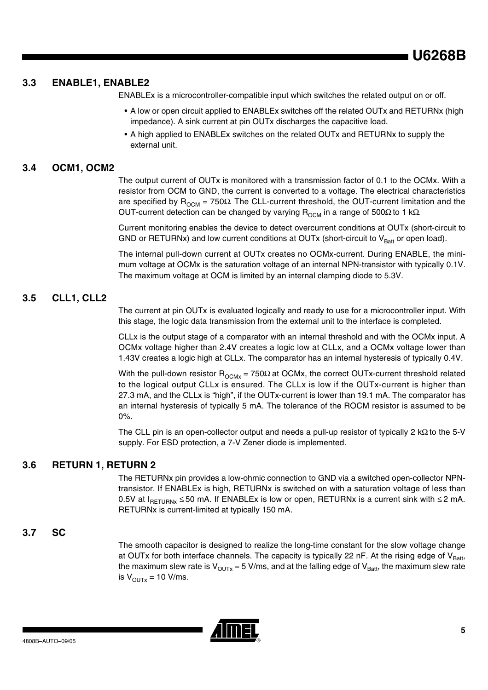**U6268B**

### **3.3 ENABLE1, ENABLE2**

ENABLEx is a microcontroller-compatible input which switches the related output on or off.

- A low or open circuit applied to ENABLEx switches off the related OUTx and RETURNx (high impedance). A sink current at pin OUTx discharges the capacitive load.
- A high applied to ENABLEx switches on the related OUTx and RETURNx to supply the external unit.

### **3.4 OCM1, OCM2**

The output current of OUTx is monitored with a transmission factor of 0.1 to the OCMx. With a resistor from OCM to GND, the current is converted to a voltage. The electrical characteristics are specified by  $R_{OCM}$  = 750Ω. The CLL-current threshold, the OUT-current limitation and the OUT-current detection can be changed by varying  $R_{OCM}$  in a range of 500Ω to 1 kΩ.

Current monitoring enables the device to detect overcurrent conditions at OUTx (short-circuit to GND or RETURNx) and low current conditions at OUTx (short-circuit to  $V_{\text{Ratt}}$  or open load).

The internal pull-down current at OUTx creates no OCMx-current. During ENABLE, the minimum voltage at OCMx is the saturation voltage of an internal NPN-transistor with typically 0.1V. The maximum voltage at OCM is limited by an internal clamping diode to 5.3V.

### **3.5 CLL1, CLL2**

The current at pin OUTx is evaluated logically and ready to use for a microcontroller input. With this stage, the logic data transmission from the external unit to the interface is completed.

CLLx is the output stage of a comparator with an internal threshold and with the OCMx input. A OCMx voltage higher than 2.4V creates a logic low at CLLx, and a OCMx voltage lower than 1.43V creates a logic high at CLLx. The comparator has an internal hysteresis of typically 0.4V.

With the pull-down resistor  $R_{\text{OCMx}} = 750\Omega$  at OCMx, the correct OUTx-current threshold related to the logical output CLLx is ensured. The CLLx is low if the OUTx-current is higher than 27.3 mA, and the CLLx is "high", if the OUTx-current is lower than 19.1 mA. The comparator has an internal hysteresis of typically 5 mA. The tolerance of the ROCM resistor is assumed to be 0%.

The CLL pin is an open-collector output and needs a pull-up resistor of typically 2 kΩ to the 5-V supply. For ESD protection, a 7-V Zener diode is implemented.

### **3.6 RETURN 1, RETURN 2**

The RETURNx pin provides a low-ohmic connection to GND via a switched open-collector NPNtransistor. If ENABLEx is high, RETURNx is switched on with a saturation voltage of less than 0.5V at  $I_{\text{RETURNx}}$  ≤ 50 mA. If ENABLEx is low or open, RETURNx is a current sink with ≤ 2 mA. RETURNx is current-limited at typically 150 mA.

### **3.7 SC**

The smooth capacitor is designed to realize the long-time constant for the slow voltage change at OUTx for both interface channels. The capacity is typically 22 nF. At the rising edge of  $V_{\text{Batt}}$ , the maximum slew rate is  $V_{\text{OUTX}} = 5 \text{ V/ms}$ , and at the falling edge of  $V_{\text{Batt}}$ , the maximum slew rate is  $V_{\text{OUTx}} = 10$  V/ms.

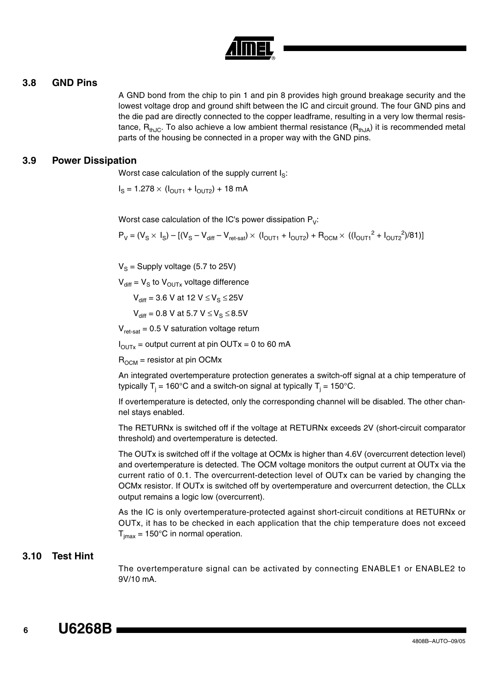

### <span id="page-5-0"></span>**3.8 GND Pins**

A GND bond from the chip to pin 1 and pin 8 provides high ground breakage security and the lowest voltage drop and ground shift between the IC and circuit ground. The four GND pins and the die pad are directly connected to the copper leadframe, resulting in a very low thermal resistance,  $R_{thJC}$ . To also achieve a low ambient thermal resistance  $(R_{thJA})$  it is recommended metal parts of the housing be connected in a proper way with the GND pins.

### **3.9 Power Dissipation**

Worst case calculation of the supply current  $I_S$ :

 $I_S = 1.278 \times (I_{OUT1} + I_{OUT2}) + 18 \text{ mA}$ 

Worst case calculation of the IC's power dissipation  $P_V$ :

 $P_V = (V_S \times I_S) - [(V_S - V_{diff} - V_{ret-sat}) \times (I_{OUT1} + I_{OUT2}) + R_{OCM} \times ((I_{OUT1}^2 + I_{OUT2}^2)/81)]$ 

 $V_S$  = Supply voltage (5.7 to 25V)

 $V_{diff} = V_S$  to  $V_{OUTX}$  voltage difference

 $V_{\text{diff}} = 3.6 \text{ V}$  at 12  $V \leq V_{\text{S}} \leq 25V$ 

 $V_{\text{diff}} = 0.8 \text{ V at } 5.7 \text{ V } \leq V_{\text{S}} \leq 8.5 \text{ V}$ 

 $V_{\text{ret-sat}}$  = 0.5 V saturation voltage return

 $I_{\text{OUTX}}$  = output current at pin OUTx = 0 to 60 mA

 $R_{OCM}$  = resistor at pin OCMx

An integrated overtemperature protection generates a switch-off signal at a chip temperature of typically T<sub>j</sub> = 160°C and a switch-on signal at typically T<sub>j</sub> = 150°C.

If overtemperature is detected, only the corresponding channel will be disabled. The other channel stays enabled.

The RETURNx is switched off if the voltage at RETURNx exceeds 2V (short-circuit comparator threshold) and overtemperature is detected.

The OUTx is switched off if the voltage at OCMx is higher than 4.6V (overcurrent detection level) and overtemperature is detected. The OCM voltage monitors the output current at OUTx via the current ratio of 0.1. The overcurrent-detection level of OUTx can be varied by changing the OCMx resistor. If OUTx is switched off by overtemperature and overcurrent detection, the CLLx output remains a logic low (overcurrent).

As the IC is only overtemperature-protected against short-circuit conditions at RETURNx or OUTx, it has to be checked in each application that the chip temperature does not exceed  $T_{\text{imax}}$  = 150°C in normal operation.

### **3.10 Test Hint**

The overtemperature signal can be activated by connecting ENABLE1 or ENABLE2 to 9V/10 mA.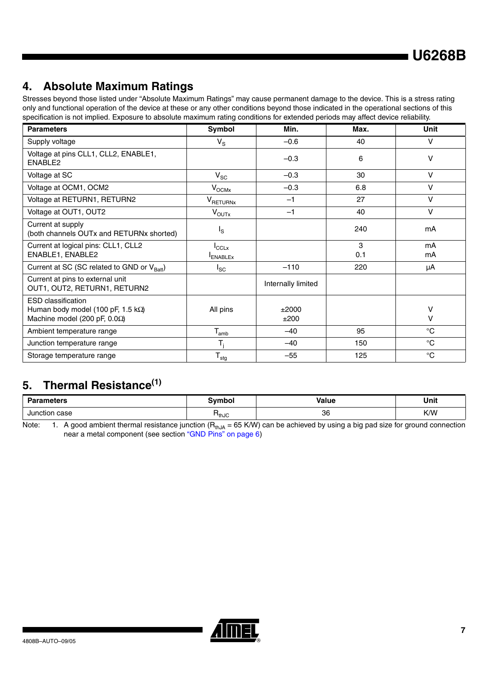# **4. Absolute Maximum Ratings**

Stresses beyond those listed under "Absolute Maximum Ratings" may cause permanent damage to the device. This is a stress rating only and functional operation of the device at these or any other conditions beyond those indicated in the operational sections of this specification is not implied. Exposure to absolute maximum rating conditions for extended periods may affect device reliability.

| <b>Parameters</b>                                                                                              | Symbol                  | Min.               | Max.     | Unit         |
|----------------------------------------------------------------------------------------------------------------|-------------------------|--------------------|----------|--------------|
| Supply voltage                                                                                                 | $V_{\rm S}$             | $-0.6$             | 40       | $\mathsf{V}$ |
| Voltage at pins CLL1, CLL2, ENABLE1,<br>ENABLE2                                                                |                         | $-0.3$             | 6        | v            |
| Voltage at SC                                                                                                  | $V_{SC}$                | $-0.3$             | 30       | V            |
| Voltage at OCM1, OCM2                                                                                          | $V^{\rm OCMX}$          | $-0.3$             | 6.8      | v            |
| Voltage at RETURN1, RETURN2                                                                                    | $V_{\sf RETURNx}$       | $-1$               | 27       | $\vee$       |
| Voltage at OUT1, OUT2                                                                                          | $V_{\text{OUTx}}$       | $-1$               | 40       | $\vee$       |
| Current at supply<br>(both channels OUTx and RETURNx shorted)                                                  | $I_{\rm S}$             |                    | 240      | mA           |
| Current at logical pins: CLL1, CLL2<br>ENABLE1, ENABLE2                                                        | ICCLX<br><b>ENABLEx</b> |                    | 3<br>0.1 | mA<br>mA     |
| Current at SC (SC related to GND or V <sub>Batt</sub> )                                                        | $I_{SC}$                | $-110$             | 220      | μA           |
| Current at pins to external unit<br>OUT1, OUT2, RETURN1, RETURN2                                               |                         | Internally limited |          |              |
| <b>ESD</b> classification<br>Human body model (100 pF, 1.5 $k\Omega$ )<br>Machine model (200 pF, $0.0\Omega$ ) | All pins                | ±2000<br>±200      |          | v<br>$\vee$  |
| Ambient temperature range                                                                                      | $T_{amb}$               | $-40$              | 95       | $^{\circ}C$  |
| Junction temperature range                                                                                     |                         | $-40$              | 150      | $^{\circ}C$  |
| Storage temperature range                                                                                      | ${\sf T}_{\sf stg}$     | $-55$              | 125      | $^{\circ}C$  |

# **5. Thermal Resistance(1)**

| ırameters          | `vmbol                       | Value | Unit<br>__ |  |
|--------------------|------------------------------|-------|------------|--|
| case<br>Junction < | $\mathsf{n}_{\mathsf{thJC}}$ | 36    | K/W        |  |

Note: 1. A good ambient thermal resistance junction ( $R_{thJA} = 65$  K/W) can be achieved by using a big pad size for ground connection near a metal component (see section ["GND Pins" on page 6\)](#page-5-0)

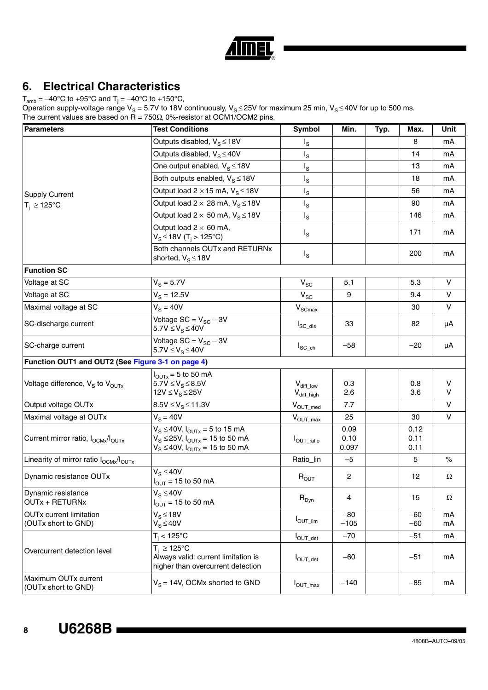|  | R) |
|--|----|

### **6. Electrical Characteristics**

 $T_{\rm amb}$  = –40°C to +95°C and T $_{\rm j}$  = –40°C to +150°C,

Operation supply-voltage range V<sub>S</sub> = 5.7V to 18V continuously, V<sub>S</sub> ≤ 25V for maximum 25 min, V<sub>S</sub> ≤ 40V for up to 500 ms. The current values are based on  $R = 750\Omega$ , 0%-resistor at OCM1/OCM2 pins.

| <b>Parameters</b>                                          | <b>Test Conditions</b>                                                                                                                 | <b>Symbol</b>                                       | Min.                  | Typ. | Max.                 | Unit     |
|------------------------------------------------------------|----------------------------------------------------------------------------------------------------------------------------------------|-----------------------------------------------------|-----------------------|------|----------------------|----------|
|                                                            | Outputs disabled, $V_S \le 18V$                                                                                                        | $I_{\rm S}$                                         |                       |      | 8                    | mA       |
|                                                            | Outputs disabled, $V_S \leq 40V$                                                                                                       | $I_{\rm S}$                                         |                       |      | 14                   | mA       |
|                                                            | One output enabled, $V_S \le 18V$                                                                                                      | $I_{\rm S}$                                         |                       |      | 13                   | mA       |
|                                                            | Both outputs enabled, $V_S \le 18V$                                                                                                    | $\mathsf{I}_\mathsf{S}$                             |                       |      | 18                   | mA       |
| <b>Supply Current</b>                                      | Output load $2 \times 15$ mA, $V_S \le 18V$                                                                                            | $I_{\rm S}$                                         |                       |      | 56                   | mA       |
| $T_i \ge 125^{\circ}C$                                     | Output load $2 \times 28$ mA, $V_S \le 18V$                                                                                            | $I_{\rm S}$                                         |                       |      | 90                   | mA       |
|                                                            | Output load $2 \times 50$ mA, $V_S \le 18V$                                                                                            | $I_{\rm S}$                                         |                       |      | 146                  | mA       |
|                                                            | Output load $2 \times 60$ mA,<br>$V_S$ ≤ 18V (T <sub>i</sub> > 125°C)                                                                  | $I_{\rm S}$                                         |                       |      | 171                  | mA       |
|                                                            | Both channels OUTx and RETURNx<br>shorted, $V_S \le 18V$                                                                               | $I_{\rm S}$                                         |                       |      | 200                  | mA       |
| <b>Function SC</b>                                         |                                                                                                                                        |                                                     |                       |      |                      |          |
| Voltage at SC                                              | $V_S = 5.7V$                                                                                                                           | $\mathsf{V}_{\mathsf{SC}}$                          | 5.1                   |      | 5.3                  | $\vee$   |
| Voltage at SC                                              | $V_{\rm s} = 12.5V$                                                                                                                    | $\mathsf{V}_{\mathsf{SC}}$                          | 9                     |      | 9.4                  | $\vee$   |
| Maximal voltage at SC                                      | $V_S = 40V$                                                                                                                            | $\mathsf{V}_{\mathsf{SCmax}}$                       |                       |      | 30                   | V        |
| SC-discharge current                                       | Voltage $SC = V_{SC} - 3V$<br>$5.7V \leq V_S \leq 40V$                                                                                 | $I_{SC\_dis}$                                       | 33                    |      | 82                   | μA       |
| SC-charge current                                          | Voltage $SC = V_{SC} - 3V$<br>$5.7V \leq V_S \leq 40V$                                                                                 | $I_{SC\_ch}$                                        | $-58$                 |      | $-20$                | μA       |
| Function OUT1 and OUT2 (See Figure 3-1 on page 4)          |                                                                                                                                        |                                                     |                       |      |                      |          |
| Voltage difference, $V_S$ to $V_{OUTX}$                    | $I_{\text{OUTX}} = 5$ to 50 mA<br>$5.7V \leq V_{S} \leq 8.5V$<br>$12V \leq V_S \leq 25V$                                               | $\mathsf{V}_{\text{diff\_low}}$<br>$V_{diff\_high}$ | 0.3<br>2.6            |      | 0.8<br>3.6           | V<br>V   |
| Output voltage OUTx                                        | $8.5V \leq V_S \leq 11.3V$                                                                                                             | $V_{OUT\_med}$                                      | 7.7                   |      |                      | $\vee$   |
| Maximal voltage at OUTx                                    | $V_S = 40V$                                                                                                                            | $V_{OUT\_max}$                                      | 25                    |      | 30                   | V        |
| Current mirror ratio, I <sub>OCMx</sub> /I <sub>OUTx</sub> | $V_S \le 40V$ , $I_{\text{OUTX}} = 5$ to 15 mA<br>$V_S \le 25V$ , $I_{OUTX} = 15$ to 50 mA<br>$V_S \le 40V$ , $I_{OUTX} = 15$ to 50 mA | $I_{OUT\_ratio}$                                    | 0.09<br>0.10<br>0.097 |      | 0.12<br>0.11<br>0.11 |          |
| Linearity of mirror ratio $I_{OCMx}/I_{OUTx}$              |                                                                                                                                        | Ratio_lin                                           | $-5$                  |      | 5                    | $\%$     |
| Dynamic resistance OUTx                                    | $V_S \leq 40V$<br>$I_{OUT}$ = 15 to 50 mA                                                                                              | $R_{OUT}$                                           | 2                     |      | 12                   | Ω        |
| Dynamic resistance<br><b>OUTx + RETURNx</b>                | $V_S \leq 40V$<br>$I_{OUT}$ = 15 to 50 mA                                                                                              | $R_{Dyn}$                                           | 4                     |      | 15                   | Ω        |
| <b>OUTx current limitation</b><br>(OUTx short to GND)      | $V_S \leq 18V$<br>$V_S \leq 40V$                                                                                                       | $I_{OUT\_lim}$                                      | $-80$<br>$-105$       |      | $-60$<br>$-60$       | mA<br>mA |
|                                                            | $T_i < 125$ °C                                                                                                                         | $I_{OUT\_det}$                                      | $-70$                 |      | $-51$                | mA       |
| Overcurrent detection level                                | $T_i \ge 125^{\circ}C$<br>Always valid: current limitation is<br>higher than overcurrent detection                                     | $I_{OUT\_det}$                                      | $-60$                 |      | $-51$                | mA       |
| Maximum OUTx current<br>(OUTx short to GND)                | $V_S = 14V$ , OCMx shorted to GND                                                                                                      | $I_{\text{OUT\_max}}$                               | $-140$                |      | $-85$                | mA       |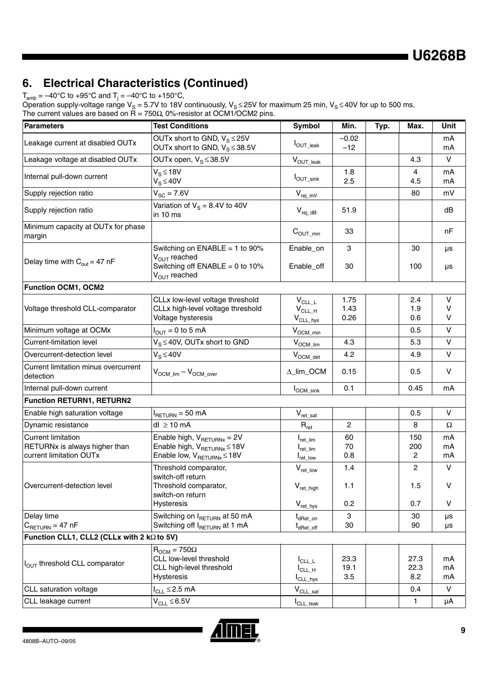**U6268B**

# **6. Electrical Characteristics (Continued)**

 $\mathsf{T}_{\mathsf{amb}}$  = –40°C to +95°C and  $\mathsf{T}_{\mathsf{j}}$  = –40°C to +150°C,

Operation supply-voltage range V<sub>S</sub> = 5.7V to 18V continuously, V<sub>S</sub> ≤ 25V for maximum 25 min, V<sub>S</sub> ≤ 40V for up to 500 ms. The current values are based on  $R = 750\Omega$ , 0%-resistor at OCM1/OCM2 pins.

| <b>Parameters</b>                                                                     | <b>Test Conditions</b>                                                                                                            | Symbol                                                                      | Min.                 | Typ. | Max.                         | <b>Unit</b>    |
|---------------------------------------------------------------------------------------|-----------------------------------------------------------------------------------------------------------------------------------|-----------------------------------------------------------------------------|----------------------|------|------------------------------|----------------|
| Leakage current at disabled OUTx                                                      | OUTx short to GND, $V_S \le 25V$<br>OUTx short to GND, $V_S \leq 38.5V$                                                           | l <sub>OUT_leak</sub>                                                       | $-0.02$<br>$-12$     |      |                              | mA<br>mA       |
| Leakage voltage at disabled OUTx                                                      | OUTx open, $V_S \leq 38.5V$                                                                                                       | $V_{OUT\_leak}$                                                             |                      |      | 4.3                          | $\vee$         |
| Internal pull-down current                                                            | $V_S \leq 18V$<br>$V_S \leq 40V$                                                                                                  | $I_{\text{OUT\_sink}}$                                                      | 1.8<br>2.5           |      | 4<br>4.5                     | mA<br>mA       |
| Supply rejection ratio                                                                | $V_{SC} = 7.6V$                                                                                                                   | $V_{rej\_mV}$                                                               |                      |      | 80                           | mV             |
| Supply rejection ratio                                                                | Variation of $V_s = 8.4V$ to 40V<br>in 10 ms                                                                                      | $V_{rej_dB}$                                                                | 51.9                 |      |                              | dB             |
| Minimum capacity at OUTx for phase<br>margin                                          |                                                                                                                                   | $C_{\text{OUT\_min}}$                                                       | 33                   |      |                              | nF             |
| Delay time with $C_{\text{out}} = 47 \text{ nF}$                                      | Switching on ENABLE = 1 to 90%<br>$V_{OUT}$ reached<br>Switching off $ENABLE = 0$ to 10%<br>$V_{\text{OUT}}$ reached              | Enable_on<br>Enable_off                                                     | 3<br>30              |      | 30<br>100                    | μs<br>μs       |
| <b>Function OCM1, OCM2</b>                                                            |                                                                                                                                   |                                                                             |                      |      |                              |                |
| Voltage threshold CLL-comparator                                                      | CLLx low-level voltage threshold<br>CLLx high-level voltage threshold<br>Voltage hysteresis                                       | $V_{CLL_L}$<br>$V_{CLLH}$<br>$V_{CLL_{NSS}}$                                | 1.75<br>1.43<br>0.26 |      | 2.4<br>1.9<br>0.6            | v<br>v<br>V    |
| Minimum voltage at OCMx                                                               | $I_{OUT} = 0$ to 5 mA                                                                                                             | $V_{\text{OCM\_min}}$                                                       |                      |      | 0.5                          | $\vee$         |
| <b>Current-limitation level</b>                                                       | $V_S \leq 40V$ , OUTx short to GND                                                                                                | $V_{OCM\_lim}$                                                              | 4.3                  |      | 5.3                          | $\vee$         |
| Overcurrent-detection level                                                           | $V_S \leq 40V$                                                                                                                    | $V_{OCM\_det}$                                                              | 4.2                  |      | 4.9                          | $\vee$         |
| Current limitation minus overcurrent<br>detection                                     | $V_{OCM\_lim} - V_{OCM\_over}$                                                                                                    | Δ_lim_OCM                                                                   | 0.15                 |      | 0.5                          | $\vee$         |
| Internal pull-down current                                                            |                                                                                                                                   | $I_{OCM\_sink}$                                                             | 0.1                  |      | 0.45                         | mA             |
| <b>Function RETURN1, RETURN2</b>                                                      |                                                                                                                                   |                                                                             |                      |      |                              |                |
| Enable high saturation voltage                                                        | $I_{\text{RETURN}} = 50 \text{ mA}$                                                                                               | $V_{ret\_sat}$                                                              |                      |      | 0.5                          | $\vee$         |
| Dynamic resistance                                                                    | $dl \ge 10$ mA                                                                                                                    | $\mathsf{R}_{\mathsf{ret}}$                                                 | $\overline{c}$       |      | 8                            | Ω              |
| <b>Current limitation</b><br>RETURNx is always higher than<br>current limitation OUTx | Enable high, $V_{\text{RETURNx}} = 2V$<br>Enable high, $V_{\text{RETURNx}} \leq 18V$<br>Enable low, $V_{\text{RETURNx}} \leq 18V$ | $I_{\mathsf{ret\_lim}}$<br>$I_{\mathsf{ret\_lim}}$<br>$I_{\text{ret\_low}}$ | 60<br>70<br>0.8      |      | 150<br>200<br>$\overline{c}$ | mA<br>mA<br>mA |
|                                                                                       | Threshold comparator,<br>switch-off return                                                                                        | $\mathsf{V}_{\mathsf{ret\_low}}$                                            | 1.4                  |      | 2                            | $\mathsf{V}$   |
| Overcurrent-detection level                                                           | Threshold comparator,<br>switch-on return<br>Hysteresis                                                                           | $\mathsf{V}_{\mathsf{ret\_high}}$<br>$V_{ret\_hys}$                         | 1.1<br>0.2           |      | 1.5<br>0.7                   | V<br>V         |
| Delay time<br>$C_{\text{RETURN}} = 47 \text{ nF}$                                     | Switching on I <sub>RETURN</sub> at 50 mA<br>Switching off IBETURN at 1 mA                                                        | t <sub>dRet</sub> _on<br>t <sub>dRet_off</sub>                              | 3<br>30              |      | 30<br>90                     | μs<br>μs       |
| Function CLL1, CLL2 (CLLx with 2 kΩ to 5V)                                            |                                                                                                                                   |                                                                             |                      |      |                              |                |
| I <sub>OUT</sub> threshold CLL comparator                                             | $R_{\text{OCM}} = 750\Omega$<br>CLL low-level threshold<br>CLL high-level threshold<br>Hysteresis                                 | $I_{CLLL}$<br>$I_{CLL_H}$<br>$I_{CLL\_hys}$                                 | 23.3<br>19.1<br>3.5  |      | 27.3<br>22.3<br>8.2          | mA<br>mA<br>mA |
| CLL saturation voltage                                                                | $I_{CLL} \leq 2.5$ mA                                                                                                             | $V_{CLL\_sat}$                                                              |                      |      | 0.4                          | V              |
| CLL leakage current                                                                   | $V_{CLL} \leq 6.5V$                                                                                                               | I <sub>CLL_leak</sub>                                                       |                      |      | $\mathbf{1}$                 | μA             |

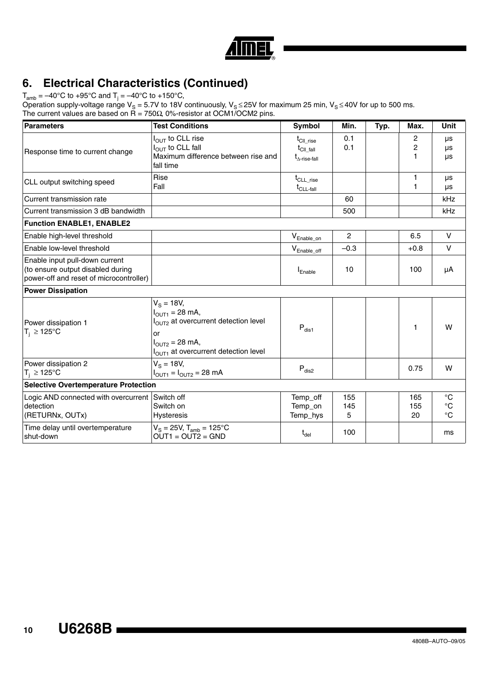

# **6. Electrical Characteristics (Continued)**

 $\mathsf{T}_{\mathsf{amb}}$  = –40°C to +95°C and  $\mathsf{T}_{\mathsf{j}}$  = –40°C to +150°C,

Operation supply-voltage range V<sub>S</sub> = 5.7V to 18V continuously, V<sub>S</sub> ≤ 25V for maximum 25 min, V<sub>S</sub> ≤ 40V for up to 500 ms. The current values are based on  $R = 750\Omega$ , 0%-resistor at OCM1/OCM2 pins.

| <b>Parameters</b>                                                                                              | <b>Test Conditions</b>                                                                                                                                                                         | Symbol                                                                                      | Min.            | Typ. | Max.             | <b>Unit</b>                                       |
|----------------------------------------------------------------------------------------------------------------|------------------------------------------------------------------------------------------------------------------------------------------------------------------------------------------------|---------------------------------------------------------------------------------------------|-----------------|------|------------------|---------------------------------------------------|
| Response time to current change                                                                                | I <sub>OUT</sub> to CLL rise<br>$I_{\text{OUT}}$ to CLL fall<br>Maximum difference between rise and<br>fall time                                                                               | $t_{\text{CII rise}}$<br>$\mathrm{t}_{\mathrm{CII\_fall}}$<br>$t_{\Delta\text{-rise-fall}}$ | 0.1<br>0.1      |      | 2<br>2<br>1      | μs<br>μs<br>μs                                    |
| CLL output switching speed                                                                                     | Rise<br>Fall                                                                                                                                                                                   | $t_{CLL\_rise}$<br>$t_{CLL-fall}$                                                           |                 |      | 1<br>1           | μs<br>μs                                          |
| Current transmission rate                                                                                      |                                                                                                                                                                                                |                                                                                             | 60              |      |                  | kHz                                               |
| Current transmission 3 dB bandwidth                                                                            |                                                                                                                                                                                                |                                                                                             | 500             |      |                  | kHz                                               |
| <b>Function ENABLE1, ENABLE2</b>                                                                               |                                                                                                                                                                                                |                                                                                             |                 |      |                  |                                                   |
| Enable high-level threshold                                                                                    |                                                                                                                                                                                                | $V_{Enable\_on}$                                                                            | $\overline{c}$  |      | 6.5              | $\vee$                                            |
| Enable low-level threshold                                                                                     |                                                                                                                                                                                                | $V_{Enable\_off}$                                                                           | $-0.3$          |      | $+0.8$           | $\vee$                                            |
| Enable input pull-down current<br>(to ensure output disabled during<br>power-off and reset of microcontroller) |                                                                                                                                                                                                | Enable                                                                                      | 10              |      | 100              | μA                                                |
| <b>Power Dissipation</b>                                                                                       |                                                                                                                                                                                                |                                                                                             |                 |      |                  |                                                   |
| Power dissipation 1<br>$T_i \ge 125^{\circ}C$                                                                  | $V_{\rm s} = 18V,$<br>$I_{OUT1} = 28$ mA,<br>I <sub>OUT2</sub> at overcurrent detection level<br>or<br>$I_{\text{OUT2}} = 28 \text{ mA}$ ,<br>I <sub>OUT1</sub> at overcurrent detection level | $\mathsf{P}_{\mathsf{dis1}}$                                                                |                 |      | 1                | W                                                 |
| Power dissipation 2<br>$T_i \ge 125^{\circ}C$                                                                  | $V_{\rm s} = 18V$ ,<br>$I_{\text{OUT1}} = I_{\text{OUT2}} = 28 \text{ mA}$                                                                                                                     | $P_{dis2}$                                                                                  |                 |      | 0.75             | W                                                 |
| <b>Selective Overtemperature Protection</b>                                                                    |                                                                                                                                                                                                |                                                                                             |                 |      |                  |                                                   |
| Logic AND connected with overcurrent Switch off<br>detection<br>(RETURNx, OUTx)                                | Switch on<br><b>Hysteresis</b>                                                                                                                                                                 | Temp_off<br>Temp_on<br>Temp_hys                                                             | 155<br>145<br>5 |      | 165<br>155<br>20 | $\rm ^{\circ}C$<br>$\rm ^{\circ}C$<br>$^{\circ}C$ |
| Time delay until overtemperature<br>shut-down                                                                  | $V_S = 25V$ , $T_{amb} = 125^{\circ}C$<br>$OUT1 = OUT2 = GND$                                                                                                                                  | $t_{\text{del}}$                                                                            | 100             |      |                  | ms                                                |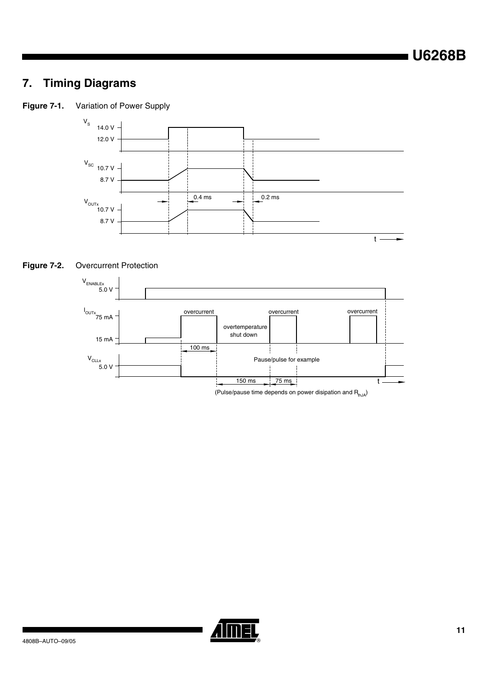# **7. Timing Diagrams**

**Figure 7-1.** Variation of Power Supply







(Pulse/pause time depends on power disipation and  $R_{thJA}$ )

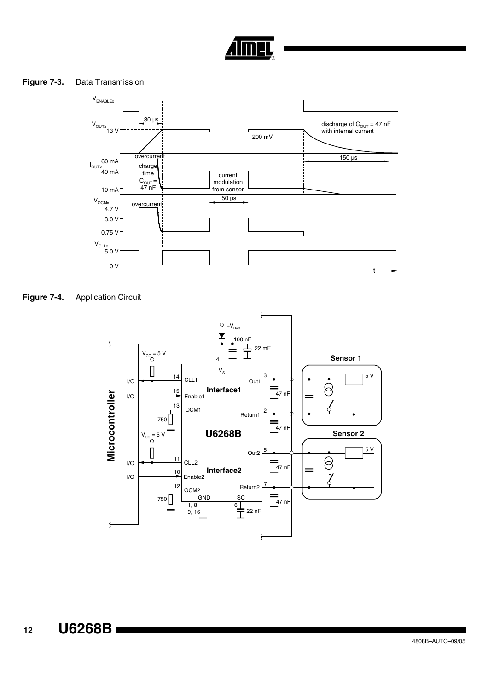

### **Figure 7-3.** Data Transmission



<span id="page-11-0"></span>

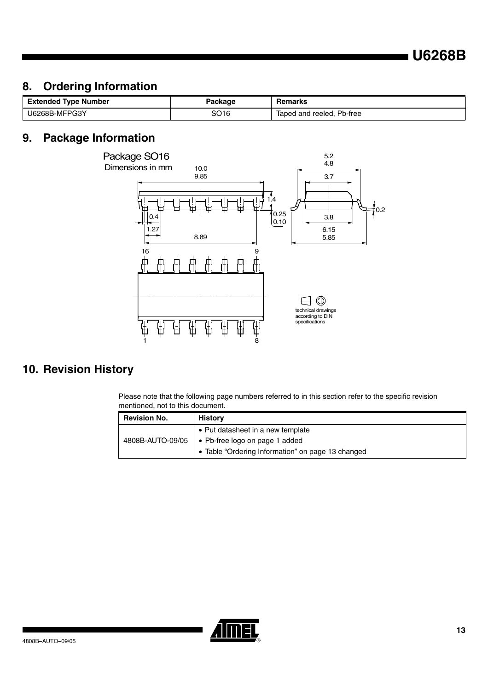# **8. Ordering Information**

| <b>Extended Type Number</b> | Package | Remarks                   |
|-----------------------------|---------|---------------------------|
| U6268B-MFPG3Y               | SO16    | Taped and reeled, Pb-free |

### **9. Package Information**



# **10. Revision History**

Please note that the following page numbers referred to in this section refer to the specific revision mentioned, not to this document.

| <b>Revision No.</b> | <b>History</b>                                    |
|---------------------|---------------------------------------------------|
|                     | • Put datasheet in a new template                 |
| 4808B-AUTO-09/05    | • Pb-free logo on page 1 added                    |
|                     | • Table "Ordering Information" on page 13 changed |